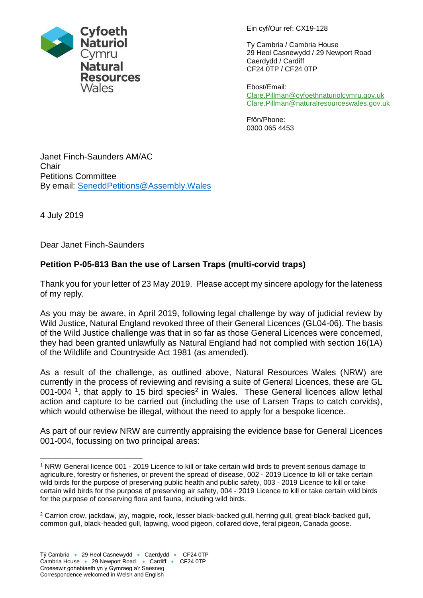

Ein cyf/Our ref: CX19-128

Ty Cambria / Cambria House 29 Heol Casnewydd / 29 Newport Road Caerdydd / Cardiff CF24 0TP / CF24 0TP

Ebost/Email: [Clare.Pillman@cyfoethnaturiolcymru.gov.uk](mailto:Clare.Pillman@cyfoethnaturiolcymru.gov.uk) [Clare.Pillman@naturalresourceswales.gov.uk](mailto:Clare.Pillman@naturalresourceswales.gov.uk)

Ffôn/Phone: 0300 065 4453

Janet Finch-Saunders AM/AC **Chair** Petitions Committee By email: [SeneddPetitions@Assembly.Wales](mailto:SeneddPetitions@Assembly.Wales)

4 July 2019

1

Dear Janet Finch-Saunders

## **Petition P-05-813 Ban the use of Larsen Traps (multi-corvid traps)**

Thank you for your letter of 23 May 2019. Please accept my sincere apology for the lateness of my reply.

As you may be aware, in April 2019, following legal challenge by way of judicial review by Wild Justice, Natural England revoked three of their General Licences (GL04-06). The basis of the Wild Justice challenge was that in so far as those General Licences were concerned, they had been granted unlawfully as Natural England had not complied with section 16(1A) of the Wildlife and Countryside Act 1981 (as amended).

As a result of the challenge, as outlined above, Natural Resources Wales (NRW) are currently in the process of reviewing and revising a suite of General Licences, these are GL 001-004<sup>1</sup>, that apply to 15 bird species<sup>2</sup> in Wales. These General licences allow lethal action and capture to be carried out (including the use of Larsen Traps to catch corvids), which would otherwise be illegal, without the need to apply for a bespoke licence.

As part of our review NRW are currently appraising the evidence base for General Licences 001-004, focussing on two principal areas:

<sup>1</sup> NRW General licence [001 -](https://cdn.naturalresources.wales/media/687664/general-licence-001-english.pdf?mode=pad&rnd=131896785200000000) 2019 Licence to kill or take certain wild birds to prevent serious damage to agriculture, forestry or fisheries, or prevent the spread of disease, [002 -](https://cdn.naturalresources.wales/media/687665/general-licence-002-english.pdf?mode=pad&rnd=131896785510000000) 2019 Licence to kill or take certain wild birds for the purpose of preserving public health and public safety, [003 -](https://cdn.naturalresources.wales/media/687666/general-licence-003-english.pdf?mode=pad&rnd=131896785860000000) 2019 Licence to kill or take certain wild birds for the purpose of preserving air safety, [004 -](https://cdn.naturalresources.wales/media/687667/general-licence-004-english.pdf?mode=pad&rnd=131896786170000000) 2019 Licence to kill or take certain wild birds for the purpose of conserving flora and fauna, including wild birds.

<sup>2</sup> Carrion crow, jackdaw, jay, magpie, rook, lesser black-backed gull, herring gull, great-black-backed gull, common gull, black-headed gull, lapwing, wood pigeon, collared dove, feral pigeon, Canada goose.